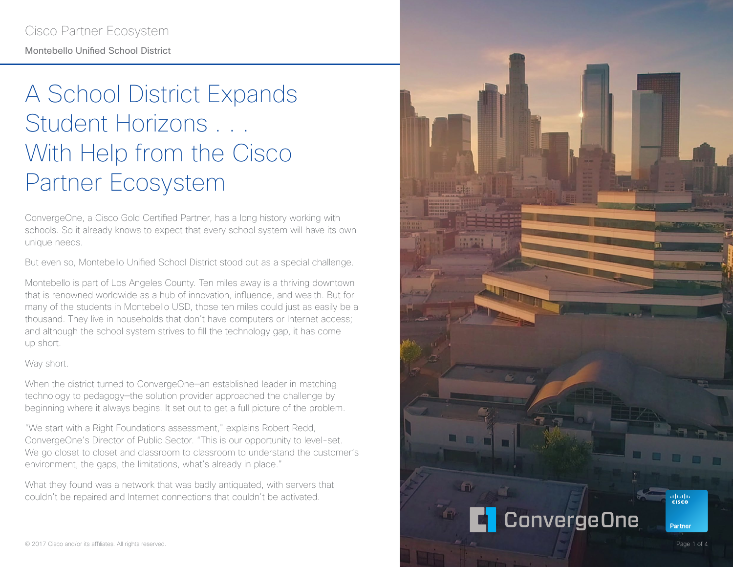# A School District Expands Student Horizons . . . With Help from the Cisco Partner Ecosystem

ConvergeOne, a Cisco Gold Certified Partner, has a long history working with schools. So it already knows to expect that every school system will have its own unique needs.

But even so, Montebello Unified School District stood out as a special challenge.

Montebello is part of Los Angeles County. Ten miles away is a thriving downtown that is renowned worldwide as a hub of innovation, influence, and wealth. But for many of the students in Montebello USD, those ten miles could just as easily be a thousand. They live in households that don't have computers or Internet access; and although the school system strives to fill the technology gap, it has come up short.

#### Way short.

When the district turned to ConvergeOne—an established leader in matching technology to pedagogy—the solution provider approached the challenge by beginning where it always begins. It set out to get a full picture of the problem.

"We start with a Right Foundations assessment," explains Robert Redd, ConvergeOne's Director of Public Sector. "This is our opportunity to level-set. We go closet to closet and classroom to classroom to understand the customer's environment, the gaps, the limitations, what's already in place."

What they found was a network that was badly antiquated, with servers that couldn't be repaired and Internet connections that couldn't be activated.

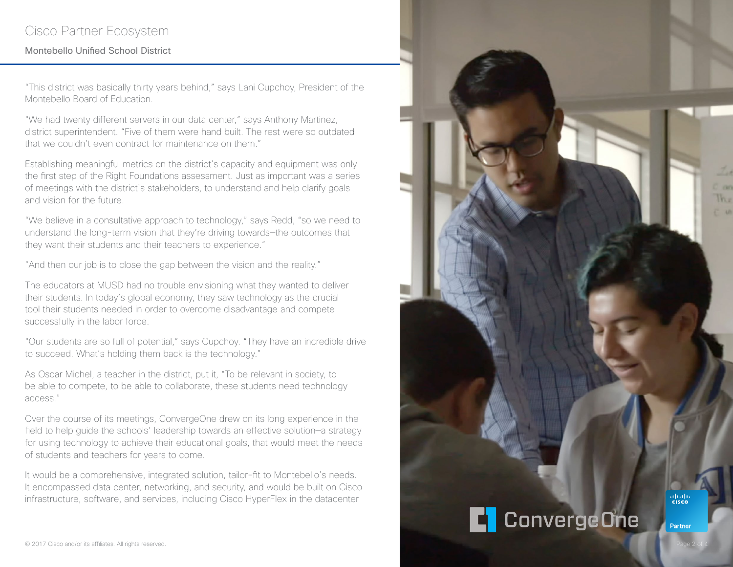## Cisco Partner Ecosystem

### Montebello Unified School District

"This district was basically thirty years behind," says Lani Cupchoy, President of the Montebello Board of Education.

"We had twenty different servers in our data center," says Anthony Martinez, district superintendent. "Five of them were hand built. The rest were so outdated that we couldn't even contract for maintenance on them."

Establishing meaningful metrics on the district's capacity and equipment was only the first step of the Right Foundations assessment. Just as important was a series of meetings with the district's stakeholders, to understand and help clarify goals and vision for the future.

"We believe in a consultative approach to technology," says Redd, "so we need to understand the long-term vision that they're driving towards—the outcomes that they want their students and their teachers to experience."

"And then our job is to close the gap between the vision and the reality."

The educators at MUSD had no trouble envisioning what they wanted to deliver their students. In today's global economy, they saw technology as the crucial tool their students needed in order to overcome disadvantage and compete successfully in the labor force.

"Our students are so full of potential," says Cupchoy. "They have an incredible drive to succeed. What's holding them back is the technology."

As Oscar Michel, a teacher in the district, put it, "To be relevant in society, to be able to compete, to be able to collaborate, these students need technology access."

Over the course of its meetings, ConvergeOne drew on its long experience in the field to help guide the schools' leadership towards an effective solution—a strategy for using technology to achieve their educational goals, that would meet the needs of students and teachers for years to come.

It would be a comprehensive, integrated solution, tailor-fit to Montebello's needs. It encompassed data center, networking, and security, and would be built on Cisco infrastructure, software, and services, including Cisco HyperFlex in the datacenter

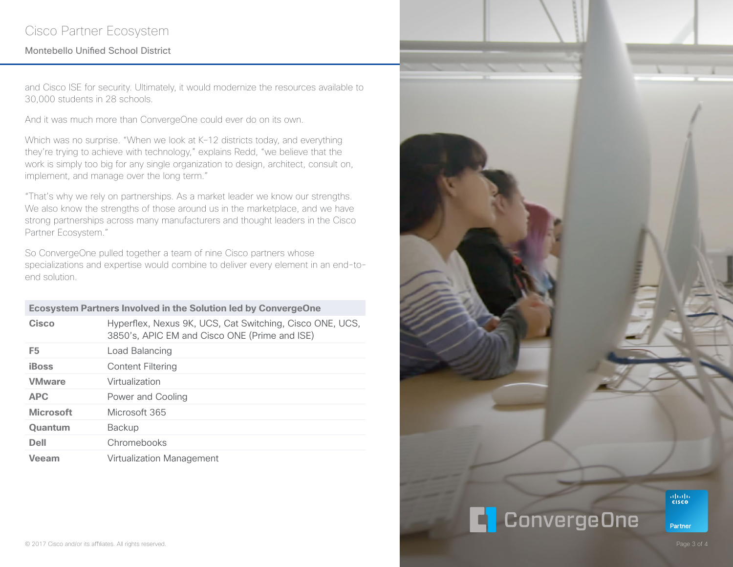## Cisco Partner Ecosystem

### Montebello Unified School District

and Cisco ISE for security. Ultimately, it would modernize the resources available to 30,000 students in 28 schools.

And it was much more than ConvergeOne could ever do on its own.

Which was no surprise. "When we look at K-12 districts today, and everything they're trying to achieve with technology," explains Redd, "we believe that the work is simply too big for any single organization to design, architect, consult on, implement, and manage over the long term."

"That's why we rely on partnerships. As a market leader we know our strengths. We also know the strengths of those around us in the marketplace, and we have strong partnerships across many manufacturers and thought leaders in the Cisco Partner Ecosystem."

So ConvergeOne pulled together a team of nine Cisco partners whose specializations and expertise would combine to deliver every element in an end-toend solution.

| <b>Ecosystem Partners Involved in the Solution led by ConvergeOne</b> |                                                                                                           |
|-----------------------------------------------------------------------|-----------------------------------------------------------------------------------------------------------|
| Cisco                                                                 | Hyperflex, Nexus 9K, UCS, Cat Switching, Cisco ONE, UCS,<br>3850's, APIC EM and Cisco ONE (Prime and ISE) |
| F <sub>5</sub>                                                        | Load Balancing                                                                                            |
| iBoss                                                                 | Content Filtering                                                                                         |
| <b>VMware</b>                                                         | Virtualization                                                                                            |
| <b>APC</b>                                                            | Power and Cooling                                                                                         |
| <b>Microsoft</b>                                                      | Microsoft 365                                                                                             |
| <b>Quantum</b>                                                        | <b>Backup</b>                                                                                             |
| Dell                                                                  | Chromebooks                                                                                               |
| Veeam                                                                 | Virtualization Management                                                                                 |